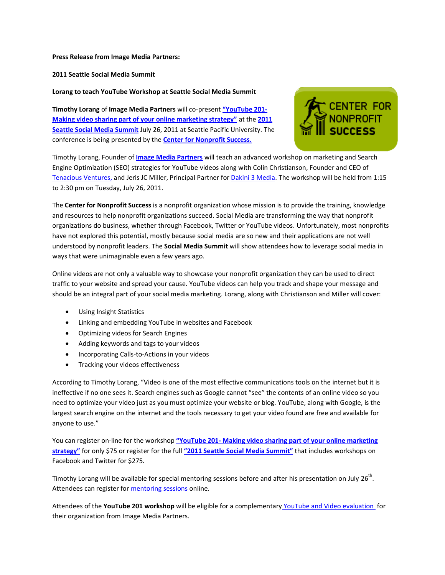## **Press Release from Image Media Partners:**

**2011 Seattle Social Media Summit**

## **Lorang to teach YouTube Workshop at Seattle Social Media Summit**

**Timothy Lorang** of **Image Media Partners** will co-present **["YouTube 201](http://www.cfnps.org/SEATSU9.aspx)- [Making video sharing part of your online marketing strategy"](http://www.cfnps.org/SEATSU9.aspx)** at the **[2011](http://www.cfnps.org/Seat_2011.aspx)  [Seattle Social Media Summit](http://www.cfnps.org/Seat_2011.aspx)** July 26, 2011 at Seattle Pacific University. The conference is being presented by the **[Center for Nonprofit Success.](http://www.cfnps.org/)**



Timothy Lorang, Founder of **[Image Media Partners](http://www.imagemediapartners.com/)** will teach an advanced workshop on marketing and Search Engine Optimization (SEO) strategies for YouTube videos along with Colin Christianson, Founder and CEO of [Tenacious Ventures,](http://www.colinchristianson.com/) and Jeris JC Miller, Principal Partner for [Dakini 3 Media.](http://dakini3.com/) The workshop will be held from 1:15 to 2:30 pm on Tuesday, July 26, 2011.

The **Center for Nonprofit Success** is a nonprofit organization whose mission is to provide the training, knowledge and resources to help nonprofit organizations succeed. Social Media are transforming the way that nonprofit organizations do business, whether through Facebook, Twitter or YouTube videos. Unfortunately, most nonprofits have not explored this potential, mostly because social media are so new and their applications are not well understood by nonprofit leaders. The **Social Media Summit** will show attendees how to leverage social media in ways that were unimaginable even a few years ago.

Online videos are not only a valuable way to showcase your nonprofit organization they can be used to direct traffic to your website and spread your cause. YouTube videos can help you track and shape your message and should be an integral part of your social media marketing. Lorang, along with Christianson and Miller will cover:

- Using Insight Statistics
- Linking and embedding YouTube in websites and Facebook
- Optimizing videos for Search Engines
- Adding keywords and tags to your videos
- Incorporating Calls-to-Actions in your videos
- Tracking your videos effectiveness

According to Timothy Lorang, "Video is one of the most effective communications tools on the internet but it is ineffective if no one sees it. Search engines such as Google cannot "see" the contents of an online video so you need to optimize your video just as you must optimize your website or blog. YouTube, along with Google, is the largest search engine on the internet and the tools necessary to get your video found are free and available for anyone to use."

You can register on-line for the workshop **"YouTube 201- [Making video sharing part of your online marketing](http://www.cfnps.org/SEATSU9.aspx)  [strategy"](http://www.cfnps.org/SEATSU9.aspx)** for only \$75 or register for the full **["2011 Seattle Social Media Summit"](http://www.cfnps.org/Seat_2011.aspx)** that includes workshops on Facebook and Twitter for \$275.

Timothy Lorang will be available for special mentoring sessions before and after his presentation on July 26<sup>th</sup>. Attendees can register for [mentoring sessions](http://www.cfnps.org/Seat_2011.aspx) online.

Attendees of the **YouTube 201 workshop** will be eligible for a complementary [YouTube and Video evaluation f](http://www.imagemediapartners.com/youtube--video-evalutaion/?utm_campaign=YouTubeSEO-SliedShow&utm_source=Press%20Release)or their organization from Image Media Partners.